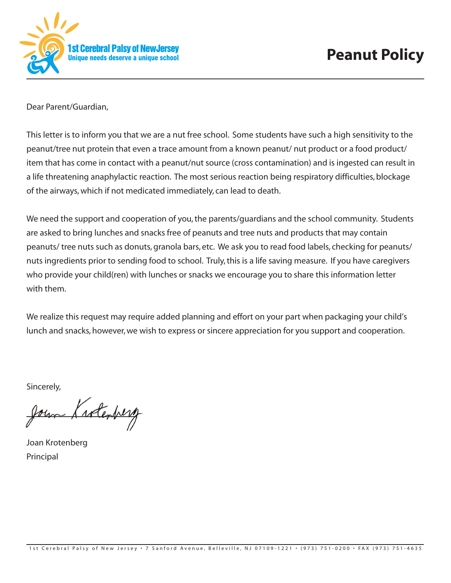

Dear Parent/Guardian,

This letter is to inform you that we are a nut free school. Some students have such a high sensitivity to the peanut/tree nut protein that even a trace amount from a known peanut/ nut product or a food product/ item that has come in contact with a peanut/nut source (cross contamination) and is ingested can result in a life threatening anaphylactic reaction. The most serious reaction being respiratory difficulties, blockage of the airways,which if not medicated immediately, can lead to death.

We need the support and cooperation of you, the parents/guardians and the school community. Students are asked to bring lunches and snacks free of peanuts and tree nuts and products that may contain peanuts/ tree nuts such as donuts, granola bars, etc. We ask you to read food labels, checking for peanuts/ nuts ingredients prior to sending food to school. Truly,this is a life saving measure. If you have caregivers who provide your child(ren) with lunches or snacks we encourage you to share this information letter with them.

We realize this request may require added planning and effort on your part when packaging your child's lunch and snacks, however, we wish to express or sincere appreciation for you support and cooperation.

Sincerely,

Jour Krolenberg

Joan Krotenberg Principal